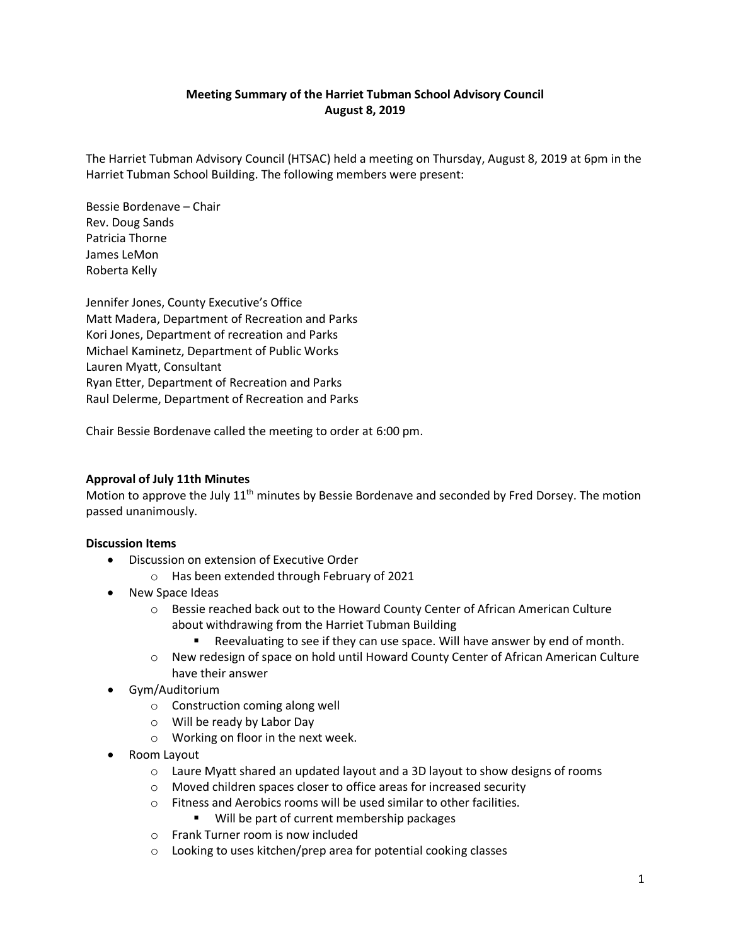# **Meeting Summary of the Harriet Tubman School Advisory Council August 8, 2019**

The Harriet Tubman Advisory Council (HTSAC) held a meeting on Thursday, August 8, 2019 at 6pm in the Harriet Tubman School Building. The following members were present:

Bessie Bordenave – Chair Rev. Doug Sands Patricia Thorne James LeMon Roberta Kelly

Jennifer Jones, County Executive's Office Matt Madera, Department of Recreation and Parks Kori Jones, Department of recreation and Parks Michael Kaminetz, Department of Public Works Lauren Myatt, Consultant Ryan Etter, Department of Recreation and Parks Raul Delerme, Department of Recreation and Parks

Chair Bessie Bordenave called the meeting to order at 6:00 pm.

## **Approval of July 11th Minutes**

Motion to approve the July 11<sup>th</sup> minutes by Bessie Bordenave and seconded by Fred Dorsey. The motion passed unanimously.

### **Discussion Items**

- Discussion on extension of Executive Order
	- o Has been extended through February of 2021
- New Space Ideas
	- $\circ$  Bessie reached back out to the Howard County Center of African American Culture about withdrawing from the Harriet Tubman Building
		- Reevaluating to see if they can use space. Will have answer by end of month.
	- o New redesign of space on hold until Howard County Center of African American Culture have their answer
- Gym/Auditorium
	- o Construction coming along well
	- o Will be ready by Labor Day
	- o Working on floor in the next week.
- Room Layout
	- $\circ$  Laure Myatt shared an updated layout and a 3D layout to show designs of rooms
	- o Moved children spaces closer to office areas for increased security
	- o Fitness and Aerobics rooms will be used similar to other facilities.
		- Will be part of current membership packages
	- o Frank Turner room is now included
	- o Looking to uses kitchen/prep area for potential cooking classes